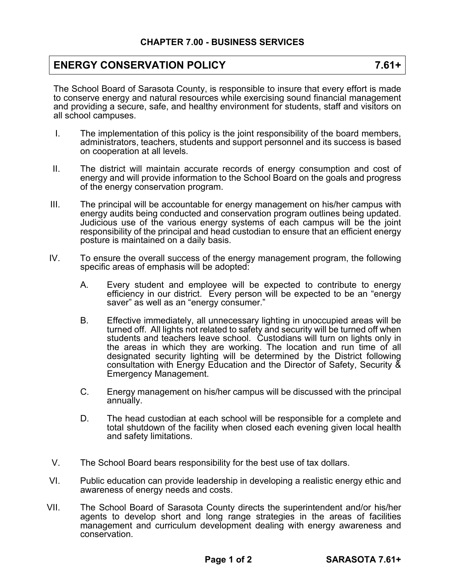## **ENERGY CONSERVATION POLICY 7.61+**

The School Board of Sarasota County, is responsible to insure that every effort is made to conserve energy and natural resources while exercising sound financial management and providing a secure, safe, and healthy environment for students, staff and visitors on all school campuses.

- I. The implementation of this policy is the joint responsibility of the board members, administrators, teachers, students and support personnel and its success is based on cooperation at all levels.
- II. The district will maintain accurate records of energy consumption and cost of energy and will provide information to the School Board on the goals and progress of the energy conservation program.
- III. The principal will be accountable for energy management on his/her campus with energy audits being conducted and conservation program outlines being updated. Judicious use of the various energy systems of each campus will be the joint responsibility of the principal and head custodian to ensure that an efficient energy posture is maintained on a daily basis.
- IV. To ensure the overall success of the energy management program, the following specific areas of emphasis will be adopted:
	- A. Every student and employee will be expected to contribute to energy efficiency in our district. Every person will be expected to be an "energy saver" as well as an "energy consumer."
	- B. Effective immediately, all unnecessary lighting in unoccupied areas will be turned off. All lights not related to safety and security will be turned off when students and teachers leave school. Custodians will turn on lights only in the areas in which they are working. The location and run time of all designated security lighting will be determined by the District following consultation with Energy Education and the Director of Safety, Security & Emergency Management.
	- C. Energy management on his/her campus will be discussed with the principal annually.
	- D. The head custodian at each school will be responsible for a complete and total shutdown of the facility when closed each evening given local health and safety limitations.
- V. The School Board bears responsibility for the best use of tax dollars.
- VI. Public education can provide leadership in developing a realistic energy ethic and awareness of energy needs and costs.
- VII. The School Board of Sarasota County directs the superintendent and/or his/her agents to develop short and long range strategies in the areas of facilities management and curriculum development dealing with energy awareness and conservation.